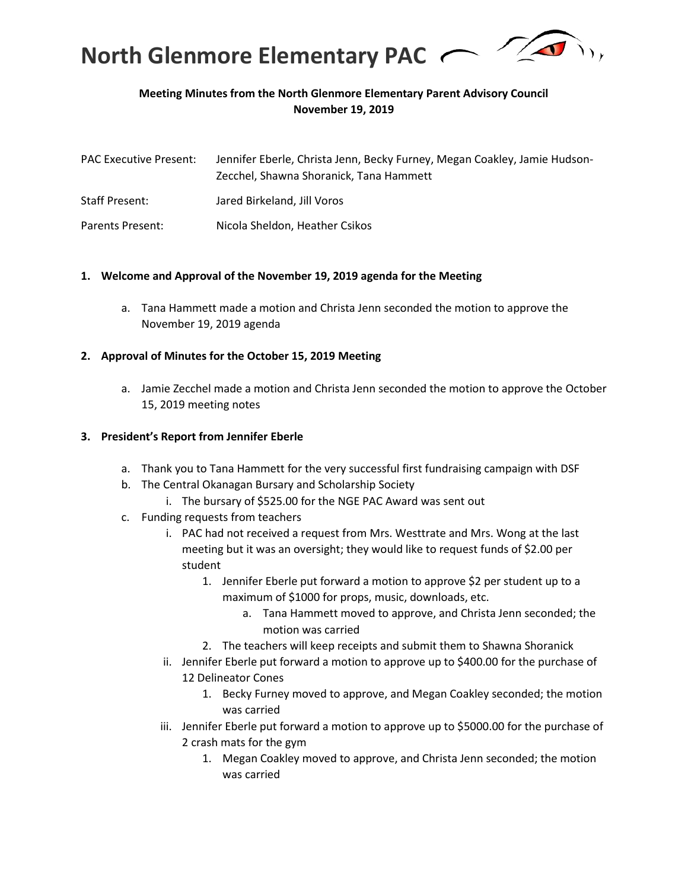

### **Meeting Minutes from the North Glenmore Elementary Parent Advisory Council November 19, 2019**

| <b>PAC Executive Present:</b> | Jennifer Eberle, Christa Jenn, Becky Furney, Megan Coakley, Jamie Hudson-<br>Zecchel, Shawna Shoranick, Tana Hammett |
|-------------------------------|----------------------------------------------------------------------------------------------------------------------|
| <b>Staff Present:</b>         | Jared Birkeland, Jill Voros                                                                                          |
| Parents Present:              | Nicola Sheldon, Heather Csikos                                                                                       |

#### **1. Welcome and Approval of the November 19, 2019 agenda for the Meeting**

a. Tana Hammett made a motion and Christa Jenn seconded the motion to approve the November 19, 2019 agenda

#### **2. Approval of Minutes for the October 15, 2019 Meeting**

a. Jamie Zecchel made a motion and Christa Jenn seconded the motion to approve the October 15, 2019 meeting notes

#### **3. President's Report from Jennifer Eberle**

- a. Thank you to Tana Hammett for the very successful first fundraising campaign with DSF
- b. The Central Okanagan Bursary and Scholarship Society
	- i. The bursary of \$525.00 for the NGE PAC Award was sent out
- c. Funding requests from teachers
	- i. PAC had not received a request from Mrs. Westtrate and Mrs. Wong at the last meeting but it was an oversight; they would like to request funds of \$2.00 per student
		- 1. Jennifer Eberle put forward a motion to approve \$2 per student up to a maximum of \$1000 for props, music, downloads, etc.
			- a. Tana Hammett moved to approve, and Christa Jenn seconded; the motion was carried
		- 2. The teachers will keep receipts and submit them to Shawna Shoranick
	- ii. Jennifer Eberle put forward a motion to approve up to \$400.00 for the purchase of 12 Delineator Cones
		- 1. Becky Furney moved to approve, and Megan Coakley seconded; the motion was carried
	- iii. Jennifer Eberle put forward a motion to approve up to \$5000.00 for the purchase of 2 crash mats for the gym
		- 1. Megan Coakley moved to approve, and Christa Jenn seconded; the motion was carried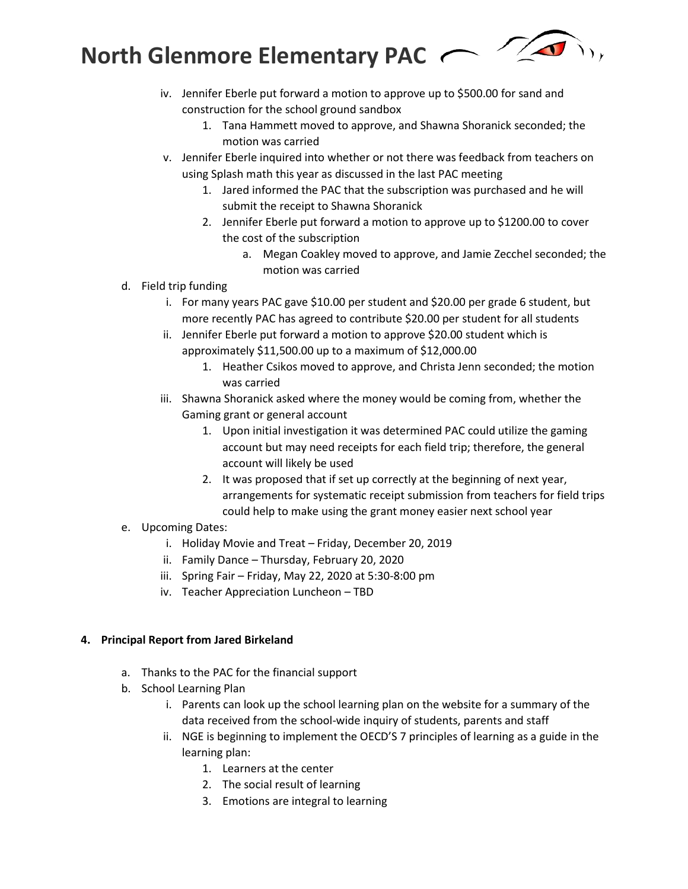

- iv. Jennifer Eberle put forward a motion to approve up to \$500.00 for sand and construction for the school ground sandbox
	- 1. Tana Hammett moved to approve, and Shawna Shoranick seconded; the motion was carried
- v. Jennifer Eberle inquired into whether or not there was feedback from teachers on using Splash math this year as discussed in the last PAC meeting
	- 1. Jared informed the PAC that the subscription was purchased and he will submit the receipt to Shawna Shoranick
	- 2. Jennifer Eberle put forward a motion to approve up to \$1200.00 to cover the cost of the subscription
		- a. Megan Coakley moved to approve, and Jamie Zecchel seconded; the motion was carried
- d. Field trip funding
	- i. For many years PAC gave \$10.00 per student and \$20.00 per grade 6 student, but more recently PAC has agreed to contribute \$20.00 per student for all students
	- ii. Jennifer Eberle put forward a motion to approve \$20.00 student which is approximately \$11,500.00 up to a maximum of \$12,000.00
		- 1. Heather Csikos moved to approve, and Christa Jenn seconded; the motion was carried
	- iii. Shawna Shoranick asked where the money would be coming from, whether the Gaming grant or general account
		- 1. Upon initial investigation it was determined PAC could utilize the gaming account but may need receipts for each field trip; therefore, the general account will likely be used
		- 2. It was proposed that if set up correctly at the beginning of next year, arrangements for systematic receipt submission from teachers for field trips could help to make using the grant money easier next school year
- e. Upcoming Dates:
	- i. Holiday Movie and Treat Friday, December 20, 2019
	- ii. Family Dance Thursday, February 20, 2020
	- iii. Spring Fair Friday, May 22, 2020 at 5:30-8:00 pm
	- iv. Teacher Appreciation Luncheon TBD

#### **4. Principal Report from Jared Birkeland**

- a. Thanks to the PAC for the financial support
- b. School Learning Plan
	- i. Parents can look up the school learning plan on the website for a summary of the data received from the school-wide inquiry of students, parents and staff
	- ii. NGE is beginning to implement the OECD'S 7 principles of learning as a guide in the learning plan:
		- 1. Learners at the center
		- 2. The social result of learning
		- 3. Emotions are integral to learning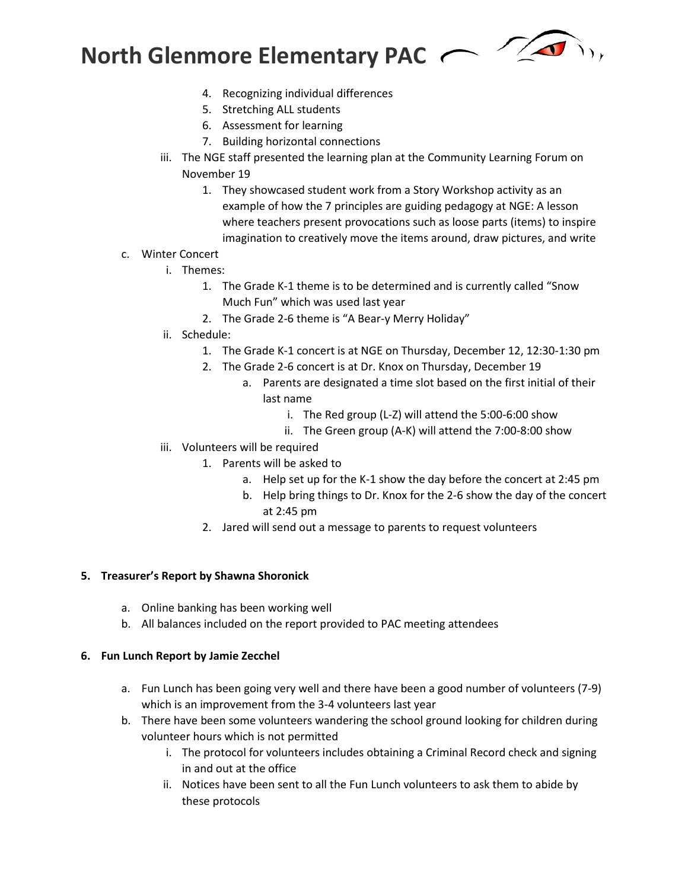

- 4. Recognizing individual differences
- 5. Stretching ALL students
- 6. Assessment for learning
- 7. Building horizontal connections
- iii. The NGE staff presented the learning plan at the Community Learning Forum on November 19
	- 1. They showcased student work from a Story Workshop activity as an example of how the 7 principles are guiding pedagogy at NGE: A lesson where teachers present provocations such as loose parts (items) to inspire imagination to creatively move the items around, draw pictures, and write
- c. Winter Concert
	- i. Themes:
		- 1. The Grade K-1 theme is to be determined and is currently called "Snow Much Fun" which was used last year
		- 2. The Grade 2-6 theme is "A Bear-y Merry Holiday"
	- ii. Schedule:
		- 1. The Grade K-1 concert is at NGE on Thursday, December 12, 12:30-1:30 pm
		- 2. The Grade 2-6 concert is at Dr. Knox on Thursday, December 19
			- a. Parents are designated a time slot based on the first initial of their last name
				- i. The Red group (L-Z) will attend the 5:00-6:00 show
				- ii. The Green group (A-K) will attend the 7:00-8:00 show
	- iii. Volunteers will be required
		- 1. Parents will be asked to
			- a. Help set up for the K-1 show the day before the concert at 2:45 pm
			- b. Help bring things to Dr. Knox for the 2-6 show the day of the concert at 2:45 pm
			- 2. Jared will send out a message to parents to request volunteers

#### **5. Treasurer's Report by Shawna Shoronick**

- a. Online banking has been working well
- b. All balances included on the report provided to PAC meeting attendees

#### **6. Fun Lunch Report by Jamie Zecchel**

- a. Fun Lunch has been going very well and there have been a good number of volunteers (7-9) which is an improvement from the 3-4 volunteers last year
- b. There have been some volunteers wandering the school ground looking for children during volunteer hours which is not permitted
	- i. The protocol for volunteers includes obtaining a Criminal Record check and signing in and out at the office
	- ii. Notices have been sent to all the Fun Lunch volunteers to ask them to abide by these protocols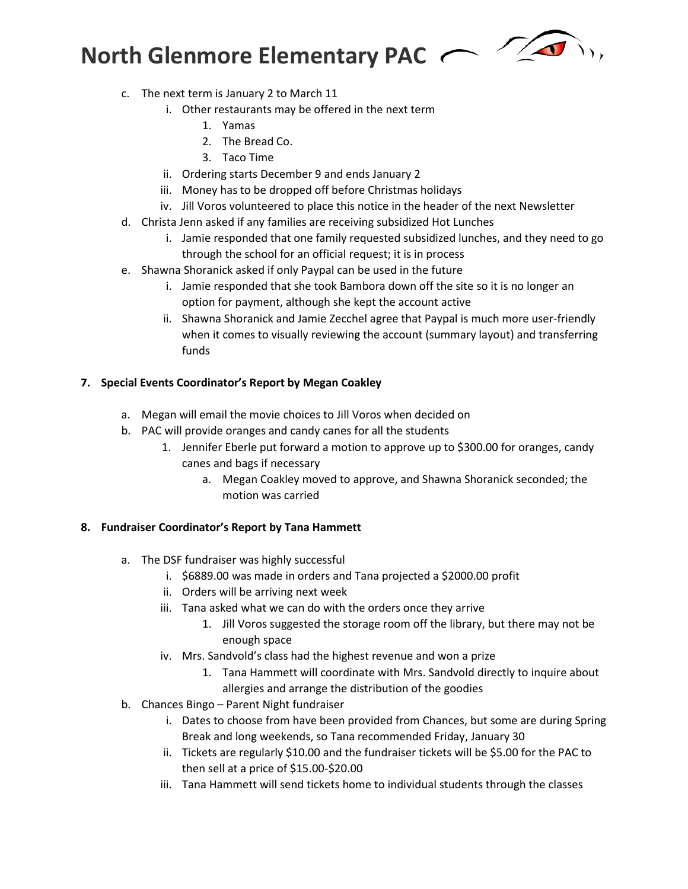

- c. The next term is January 2 to March 11
	- i. Other restaurants may be offered in the next term
		- 1. Yamas
		- 2. The Bread Co.
		- 3. Taco Time
	- ii. Ordering starts December 9 and ends January 2
	- iii. Money has to be dropped off before Christmas holidays
	- iv. Jill Voros volunteered to place this notice in the header of the next Newsletter
- d. Christa Jenn asked if any families are receiving subsidized Hot Lunches
	- i. Jamie responded that one family requested subsidized lunches, and they need to go through the school for an official request; it is in process
- e. Shawna Shoranick asked if only Paypal can be used in the future
	- i. Jamie responded that she took Bambora down off the site so it is no longer an option for payment, although she kept the account active
	- ii. Shawna Shoranick and Jamie Zecchel agree that Paypal is much more user-friendly when it comes to visually reviewing the account (summary layout) and transferring funds

### **7. Special Events Coordinator's Report by Megan Coakley**

- a. Megan will email the movie choices to Jill Voros when decided on
- b. PAC will provide oranges and candy canes for all the students
	- 1. Jennifer Eberle put forward a motion to approve up to \$300.00 for oranges, candy canes and bags if necessary
		- a. Megan Coakley moved to approve, and Shawna Shoranick seconded; the motion was carried

#### **8. Fundraiser Coordinator's Report by Tana Hammett**

- a. The DSF fundraiser was highly successful
	- i. \$6889.00 was made in orders and Tana projected a \$2000.00 profit
	- ii. Orders will be arriving next week
	- iii. Tana asked what we can do with the orders once they arrive
		- 1. Jill Voros suggested the storage room off the library, but there may not be enough space
	- iv. Mrs. Sandvold's class had the highest revenue and won a prize
		- 1. Tana Hammett will coordinate with Mrs. Sandvold directly to inquire about allergies and arrange the distribution of the goodies
- b. Chances Bingo Parent Night fundraiser
	- i. Dates to choose from have been provided from Chances, but some are during Spring Break and long weekends, so Tana recommended Friday, January 30
	- ii. Tickets are regularly \$10.00 and the fundraiser tickets will be \$5.00 for the PAC to then sell at a price of \$15.00-\$20.00
	- iii. Tana Hammett will send tickets home to individual students through the classes